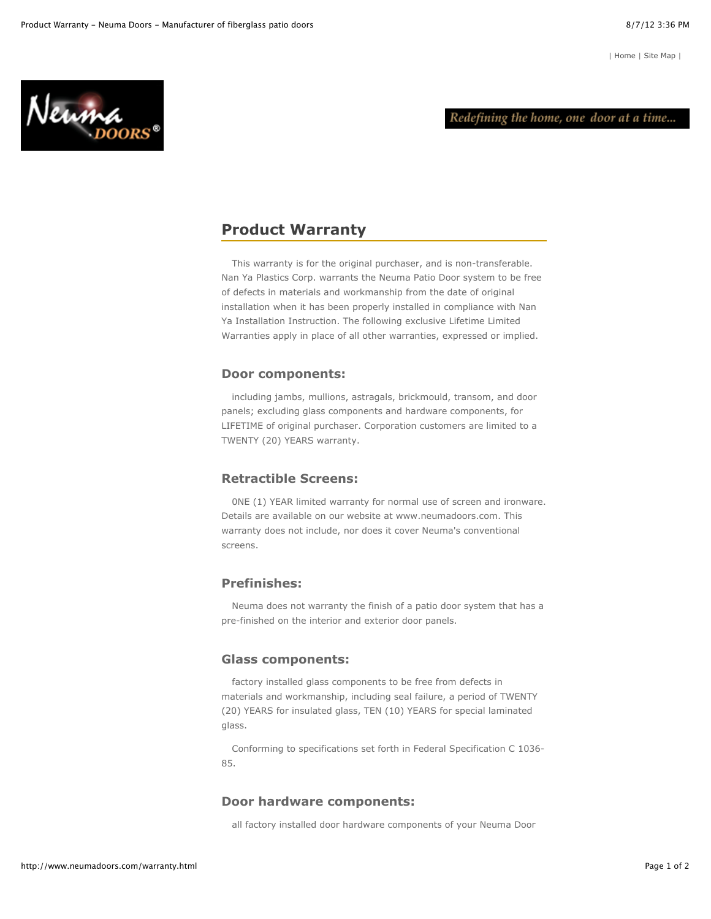Neuma

# **Product Warranty**

This warranty is for the original purchaser, and is non-transferable. Nan Ya Plastics Corp. warrants the Neuma Patio Door system to be free of defects in materials and workmanship from the date of original installation when it has been properly installed in compliance with Nan Ya Installation Instruction. The following exclusive Lifetime Limited Warranties apply in place of all other warranties, expressed or implied.

## **Door components:**

including jambs, mullions, astragals, brickmould, transom, and door panels; excluding glass components and hardware components, for LIFETIME of original purchaser. Corporation customers are limited to a TWENTY (20) YEARS warranty.

# **Retractible Screens:**

0NE (1) YEAR limited warranty for normal use of screen and ironware. Details are available on our website at www.neumadoors.com. This warranty does not include, nor does it cover Neuma's conventional screens.

# **Prefinishes:**

Neuma does not warranty the finish of a patio door system that has a pre-finished on the interior and exterior door panels.

## **Glass components:**

factory installed glass components to be free from defects in materials and workmanship, including seal failure, a period of TWENTY (20) YEARS for insulated glass, TEN (10) YEARS for special laminated glass.

Conforming to specifications set forth in Federal Specification C 1036- 85.

#### **Door hardware components:**

all factory installed door hardware components of your Neuma Door